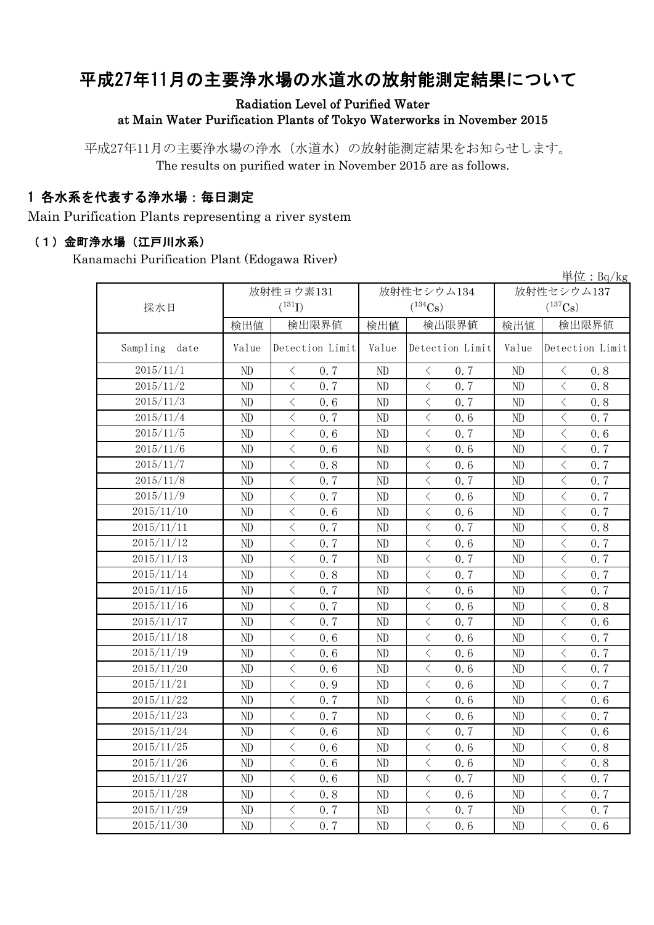# 平成27年11月の主要浄水場の水道水の放射能測定結果について

#### Radiation Level of Purified Water at Main Water Purification Plants of Tokyo Waterworks in November 2015

平成27年11月の主要浄水場の浄水(水道水)の放射能測定結果をお知らせします。 The results on purified water in November 2015 are as follows.

### 1 各水系を代表する浄水場:毎日測定

Main Purification Plants representing a river system

#### (1)金町浄水場(江戸川水系)

Kanamachi Purification Plant (Edogawa River)

|                  |       |                                                 |          |                                                                                                                                                                                     |                | 単位: $Bq/kg$                                      |  |
|------------------|-------|-------------------------------------------------|----------|-------------------------------------------------------------------------------------------------------------------------------------------------------------------------------------|----------------|--------------------------------------------------|--|
|                  |       | 放射性ヨウ素131                                       |          | 放射性セシウム134                                                                                                                                                                          | 放射性セシウム137     |                                                  |  |
| 採水日              |       | $(^{131}I)$                                     |          | $(^{134}\mathrm{Cs})$                                                                                                                                                               |                | $(^{137}Cs)$                                     |  |
|                  | 検出値   | 検出限界値                                           | 検出値      | 検出限界値                                                                                                                                                                               | 検出値            | 検出限界値                                            |  |
| Sampling<br>date | Value | Detection Limit                                 | Value    | Detection Limit                                                                                                                                                                     | Value          | Detection Limit                                  |  |
| 2015/11/1        | ND    | 0.7<br>$\lt$                                    | ND       | $\langle$<br>0, 7                                                                                                                                                                   | ND             | 0, 8<br>$\langle$                                |  |
| 2015/11/2        | ND    | $\langle$<br>0.7                                | ND       | $\lt$<br>0.7                                                                                                                                                                        | ND             | $\langle$<br>0.8                                 |  |
| 2015/11/3        | ND    | $\langle$<br>0.6                                | ND       | $\langle$<br>0.7                                                                                                                                                                    | ND             | $\overline{\left\langle \right\rangle }$<br>0.8  |  |
| 2015/11/4        | ND    | $\langle$<br>0.7                                | ND       | $\langle$<br>0.6                                                                                                                                                                    | ND             | $\overline{\left\langle \right\rangle }$<br>0.7  |  |
| 2015/11/5        | ND    | $\langle$<br>0.6                                | ND       | $\langle$<br>0.7                                                                                                                                                                    | ND             | $\overline{\left\langle \right\rangle }$<br>0.6  |  |
| 2015/11/6        | ND    | $\langle$<br>0.6                                | ND       | $\langle$<br>0.6                                                                                                                                                                    | ND             | $\overline{\left\langle \right\rangle }$<br>0.7  |  |
| 2015/11/7        | ND    | $\langle$<br>0.8                                | ND       | $\lt$<br>0.6                                                                                                                                                                        | ND             | $\langle$<br>0.7                                 |  |
| 2015/11/8        | ND    | $\langle$<br>0.7                                | ND       | $\lt$<br>0.7                                                                                                                                                                        | ND             | $\langle$<br>0.7                                 |  |
| 2015/11/9        | ND    | $\langle$<br>0.7                                | ND       | $\lt$<br>0.6                                                                                                                                                                        | $\rm ND$       | $\langle$<br>0.7                                 |  |
| 2015/11/10       | ND    | $\langle$<br>0.6                                | ND       | $\langle$<br>0.6                                                                                                                                                                    | ND             | $\langle$<br>0.7                                 |  |
| 2015/11/11       | ND    | $\langle$<br>0.7                                | ND       | $\langle$<br>0.7                                                                                                                                                                    | N <sub>D</sub> | $\overline{\left\langle \right\rangle }$<br>0.8  |  |
| 2015/11/12       | ND    | $\lt$<br>0.7                                    | ND       | $\langle$<br>0, 6                                                                                                                                                                   | ND             | $\overline{\left\langle \right\rangle }$<br>0.7  |  |
| 2015/11/13       | ND    | $\,$ $\,$ $\,$<br>0.7                           | ND       | $\lt$<br>0.7                                                                                                                                                                        | ND             | $\lt$<br>0.7                                     |  |
| 2015/11/14       | ND    | $\,$ $\,$ $\,$<br>0.8                           | ND       | $\lt$<br>0.7                                                                                                                                                                        | ND             | $\, < \,$<br>0.7                                 |  |
| 2015/11/15       | ND    | $\langle$<br>0.7                                | ND       | $\langle$<br>0.6                                                                                                                                                                    | ND             | $\lt$<br>0.7                                     |  |
| 2015/11/16       | ND    | $\langle$<br>0.7                                | ND       | $\langle$<br>0.6                                                                                                                                                                    | ND             | $\overline{\left\langle \right\rangle }$<br>0.8  |  |
| 2015/11/17       | ND    | $\langle$<br>0.7                                | ND       | $\langle$<br>0.7                                                                                                                                                                    | ND             | $\overline{\left\langle \right\rangle }$<br>0.6  |  |
| 2015/11/18       | ND    | $\langle$<br>0.6                                | ND       | $\overline{\left\langle \right\rangle }$<br>0.6                                                                                                                                     | ND             | $\overline{\left\langle \right\rangle }$<br>0.7  |  |
| 2015/11/19       | ND    | $\langle$<br>0.6                                | ND       | $\overline{\left\langle \right\rangle }$<br>0.6                                                                                                                                     | ND             | $\overline{\left\langle \right\rangle }$<br>0.7  |  |
| 2015/11/20       | ND    | $\langle$<br>0.6                                | ND       | $\lt$<br>0.6                                                                                                                                                                        | ND             | $\overline{\left\langle \right\rangle }$<br>0.7  |  |
| 2015/11/21       | ND    | $\overline{\left\langle \right\rangle }$<br>0.9 | ND       | $\langle$<br>0, 6                                                                                                                                                                   | ND             | $\overline{\left\langle \right\rangle }$<br>0.7  |  |
| 2015/11/22       | ND    | $\overline{\left\langle \right\rangle }$<br>0.7 | ND       | $\lt$<br>0.6                                                                                                                                                                        | $\rm ND$       | $\langle$<br>0.6                                 |  |
| 2015/11/23       | ND    | $\langle$<br>0.7                                | ND       | $\langle$<br>0, 6                                                                                                                                                                   | ND             | $\lt$<br>0.7                                     |  |
| 2015/11/24       | ND    | $\langle$<br>0, 6                               | ND       | $\langle$<br>0.7                                                                                                                                                                    | ND             | $\overline{\left\langle \right\rangle }$<br>0, 6 |  |
| 2015/11/25       | ND    | $\lt$<br>0.6                                    | ND       | $\overline{\left\langle \right. }% ,\left\langle \overline{\left\langle \right. }% ,\left\langle \overline{\left\langle \right. }\right\rangle \right\rangle \left. \right.$<br>0.6 | ND             | $\overline{\left\langle \right\rangle }$<br>0.8  |  |
| 2015/11/26       | ND    | $\langle$<br>0.6                                | ND       | $\,$ $\,$ $\,$<br>0.6                                                                                                                                                               | ND             | $\lt$<br>0.8                                     |  |
| 2015/11/27       | ND    | $\,$ $\,$ $\,$<br>0.6                           | ND       | $\langle$<br>0.7                                                                                                                                                                    | ND             | $\langle$<br>0.7                                 |  |
| 2015/11/28       | ND    | $\langle$<br>0.8                                | ND       | $\lt$<br>0.6                                                                                                                                                                        | ND             | $\lt$<br>0.7                                     |  |
| 2015/11/29       | ND    | $\langle$<br>0.7                                | $\rm ND$ | $\langle$<br>0.7                                                                                                                                                                    | $\rm ND$       | $\overline{\left\langle \right\rangle }$<br>0.7  |  |
| 2015/11/30       | ND    | $\langle$<br>0.7                                | ND       | $\overline{\left\langle \right\rangle }$<br>0.6                                                                                                                                     | $\rm ND$       | $\overline{\left\langle \right\rangle }$<br>0.6  |  |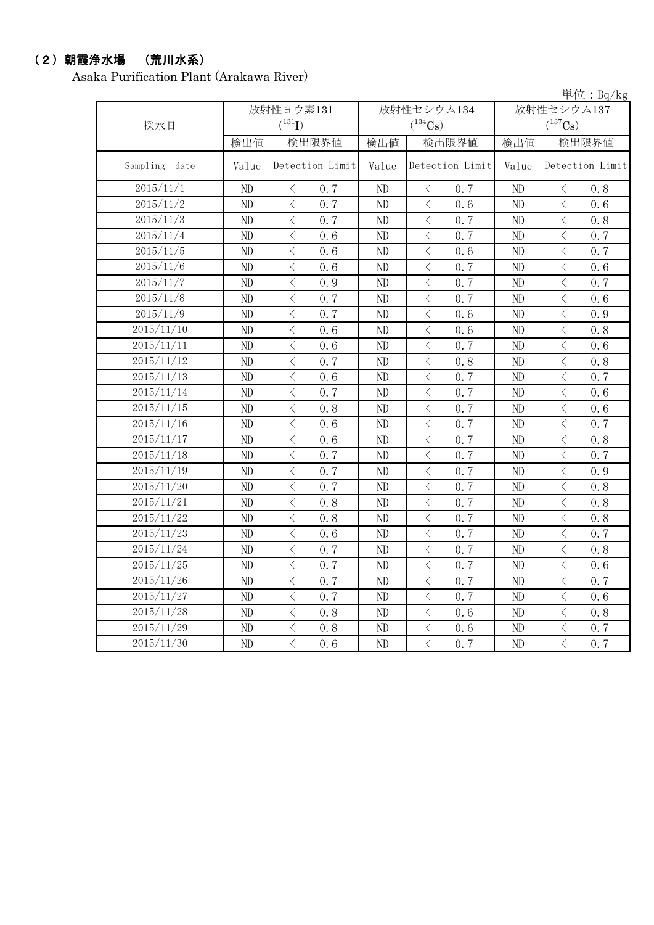### (2)朝霞浄水場 (荒川水系)

Asaka Purification Plant (Arakawa River)

単位:Bq/kg

| 採水日              |       | 放射性ヨウ素131<br>$(^{131}I)$                        |          | 放射性セシウム134<br>$(^{134}Cs)$                                                                                                                                           | 放射性セシウム137<br>$(^{137}Cs)$ |                                                 |  |
|------------------|-------|-------------------------------------------------|----------|----------------------------------------------------------------------------------------------------------------------------------------------------------------------|----------------------------|-------------------------------------------------|--|
|                  | 検出値   | 検出限界値                                           | 検出値      | 検出限界値                                                                                                                                                                | 検出値                        | 検出限界値                                           |  |
| Sampling<br>date | Value | Detection Limit                                 | Value    | Detection Limit                                                                                                                                                      | Value                      | Detection Limit                                 |  |
| 2015/11/1        | ND    | $\langle$<br>0.7                                | ND       | $\langle$<br>0.7                                                                                                                                                     | N <sub>D</sub>             | $\, \big\langle \,$<br>0.8                      |  |
| 2015/11/2        | ND    | $\,$ $\,$ $\,$<br>0.7                           | ND       | $\lt$<br>0.6                                                                                                                                                         | ND                         | $\langle$<br>0, 6                               |  |
| 2015/11/3        | ND    | $\langle$<br>0.7                                | ND       | $\lt$<br>0.7                                                                                                                                                         | ND                         | $\lt$<br>0.8                                    |  |
| 2015/11/4        | ND    | $\langle$<br>0.6                                | ND       | $\langle$<br>0.7                                                                                                                                                     | ND                         | $\langle$<br>0.7                                |  |
| 2015/11/5        | ND    | $\langle$<br>0.6                                | $\rm ND$ | $\lt$<br>0.6                                                                                                                                                         | N <sub>D</sub>             | $\langle$<br>0.7                                |  |
| 2015/11/6        | ND    | $\langle$<br>0.6                                | ND       | $\langle$<br>0.7                                                                                                                                                     | ND                         | $\langle$<br>0.6                                |  |
| 2015/11/7        | ND    | $\overline{\left\langle \right\rangle }$<br>0.9 | ND       | $\,$ $\,$ $\,$<br>0.7                                                                                                                                                | ND                         | $\langle$<br>0.7                                |  |
| 2015/11/8        | ND    | $\langle$<br>0.7                                | ND       | $\langle$<br>0.7                                                                                                                                                     | ND                         | $\overline{\left\langle \right\rangle }$<br>0.6 |  |
| 2015/11/9        | ND    | $\langle$<br>0.7                                | ND       | $\lt$<br>0.6                                                                                                                                                         | ND                         | $\langle$<br>0.9                                |  |
| 2015/11/10       | ND    | $\lt$<br>0.6                                    | ND       | $\lt$<br>0.6                                                                                                                                                         | ND                         | $\langle$<br>0.8                                |  |
| 2015/11/11       | ND    | $\langle$<br>0.6                                | $\rm ND$ | $\lt$<br>0.7                                                                                                                                                         | ND                         | $\langle$<br>0.6                                |  |
| 2015/11/12       | ND    | $\langle$<br>0.7                                | ND       | $\langle$<br>0.8                                                                                                                                                     | ND                         | $\langle$<br>0.8                                |  |
| 2015/11/13       | ND    | $\langle$<br>0.6                                | ND       | $\lt$<br>0.7                                                                                                                                                         | ND                         | $\lt$<br>0.7                                    |  |
| 2015/11/14       | ND    | $\langle$<br>0.7                                | ND       | $\overline{\left\langle \right\rangle }$<br>0.7                                                                                                                      | ND                         | $\langle$<br>0.6                                |  |
| 2015/11/15       | ND    | $\langle$<br>0.8                                | ND       | $\overline{\left\langle \right\rangle }$<br>0.7                                                                                                                      | ND                         | $\,$ $\,$ $\,$<br>0.6                           |  |
| 2015/11/16       | ND    | $\overline{\left\langle \right\rangle }$<br>0.6 | ND       | $\overline{\left\langle \right\rangle }$<br>0.7                                                                                                                      | ND                         | $\overline{\left\langle \right\rangle }$<br>0.7 |  |
| 2015/11/17       | ND    | $\lt$<br>0, 6                                   | ND       | $\langle$<br>0.7                                                                                                                                                     | ND                         | $\langle$<br>0.8                                |  |
| 2015/11/18       | ND    | $\lt$<br>0.7                                    | ND       | $\overline{\left\langle \right. }% ,\left\langle \overline{\left\langle \right. }% ,\left\langle \overline{\left\langle \right\rangle }\right\rangle \right.$<br>0.7 | ND                         | $\bigg\langle$<br>0.7                           |  |
| 2015/11/19       | ND    | $\,$ $\,$ $\,$<br>0.7                           | ND       | $\, <\,$<br>0.7                                                                                                                                                      | ND                         | $\, < \,$<br>0.9                                |  |
| 2015/11/20       | ND    | $\langle$<br>0.7                                | ND       | $\overline{\left\langle \right\rangle }$<br>0.7                                                                                                                      | ND                         | $\langle$<br>0.8                                |  |
| 2015/11/21       | ND    | $\lt$<br>0.8                                    | ND       | $\lt$<br>0.7                                                                                                                                                         | ND                         | $\lt$<br>0.8                                    |  |
| 2015/11/22       | ND    | $\langle$<br>0.8                                | ND       | $\overline{\left\langle \right\rangle }$<br>0, 7                                                                                                                     | ND                         | $\langle$<br>0.8                                |  |
| 2015/11/23       | ND    | $\,$ $\,$ $\,$<br>0.6                           | ND       | $\overline{\left\langle \right\rangle }$<br>0, 7                                                                                                                     | ND                         | $\langle$<br>0.7                                |  |
| 2015/11/24       | ND    | $\langle$<br>0.7                                | ND       | $\overline{\left\langle \right\rangle }$<br>0.7                                                                                                                      | ND                         | $\langle$<br>0.8                                |  |
| 2015/11/25       | ND    | $\langle$<br>0.7                                | ND       | $\langle$<br>0.7                                                                                                                                                     | ND                         | $\langle$<br>0.6                                |  |
| 2015/11/26       | ND    | $\langle$<br>0.7                                | ND       | $\langle$<br>0.7                                                                                                                                                     | ND                         | $\langle$<br>0.7                                |  |
| 2015/11/27       | ND    | $\lt$<br>0.7                                    | ND       | $\lt$<br>0.7                                                                                                                                                         | ND                         | $\lt$<br>0.6                                    |  |
| 2015/11/28       | ND    | $\lt$<br>0.8                                    | ND       | $\lt$<br>0.6                                                                                                                                                         | ND                         | $\langle$<br>0.8                                |  |
| 2015/11/29       | ND    | $\langle$<br>0.8                                | ND       | $\lt$<br>0.6                                                                                                                                                         | ND                         | $\langle$<br>0.7                                |  |
| 2015/11/30       | ND    | $\langle$<br>0.6                                | ND       | $\overline{\left\langle \right\rangle }$<br>0.7                                                                                                                      | ND                         | $\langle$<br>0.7                                |  |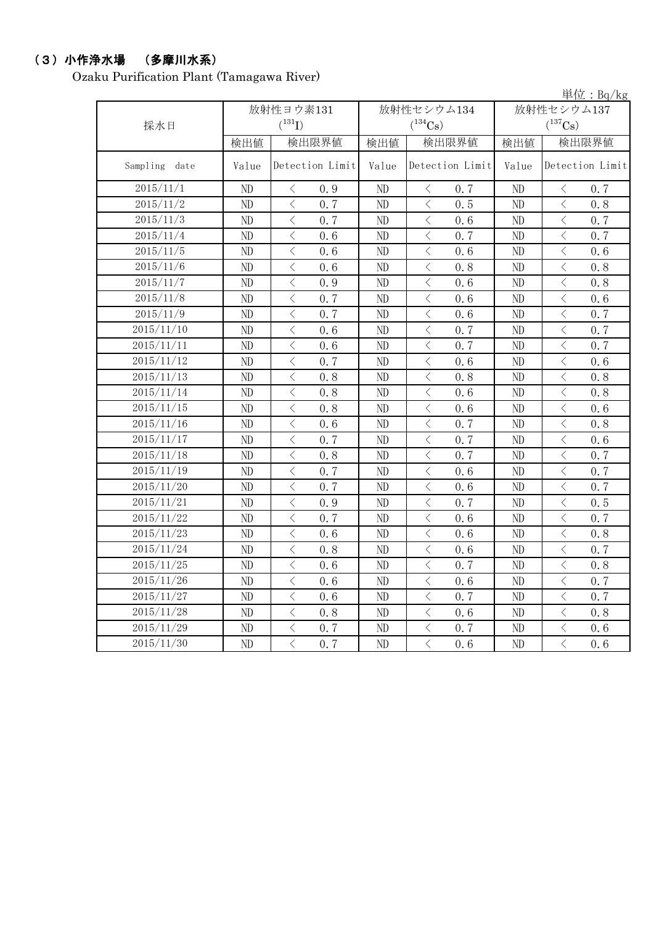### (3)小作浄水場 (多摩川水系)

Ozaku Purification Plant (Tamagawa River)

|               |       |                                                 |          |                                                 |            | 単位: Bq/kg                                       |  |
|---------------|-------|-------------------------------------------------|----------|-------------------------------------------------|------------|-------------------------------------------------|--|
|               |       | 放射性ヨウ素131                                       |          | 放射性セシウム134                                      | 放射性セシウム137 |                                                 |  |
| 採水日           |       | $(^{131}I)$                                     |          | $(^{134}Cs)$                                    |            | $(^{137}Cs)$                                    |  |
|               | 検出値   | 検出限界値                                           | 検出値      | 検出限界値                                           | 検出値        | 検出限界値                                           |  |
| Sampling date | Value | Detection Limit                                 | Value    | Detection Limit                                 | Value      | Detection Limit                                 |  |
| 2015/11/1     | ND    | $\langle$<br>0.9                                | $\rm ND$ | $\langle$<br>0.7                                | ND         | 0.7<br>$\langle$                                |  |
| 2015/11/2     | ND    | $\langle$<br>0.7                                | ND       | $\langle$<br>0.5                                | ND         | $\lt$<br>0.8                                    |  |
| 2015/11/3     | ND    | $\overline{\langle}$<br>0.7                     | ND       | $\langle$<br>0, 6                               | ND         | $\overline{\left\langle \right\rangle }$<br>0.7 |  |
| 2015/11/4     | ND    | $\overline{\left\langle \right\rangle }$<br>0.6 | ND       | $\lt$<br>0.7                                    | ND         | $\langle$<br>0.7                                |  |
| 2015/11/5     | ND    | $\,$ $\,$ $\,$<br>0.6                           | ND       | $\lt$<br>0.6                                    | ND         | $\lt$<br>0.6                                    |  |
| 2015/11/6     | ND    | $\overline{\left\langle \right\rangle }$<br>0.6 | ND       | $\overline{\left\langle \right\rangle }$<br>0.8 | ND         | $\langle$<br>0.8                                |  |
| 2015/11/7     | ND    | $\,$ $\,$ $\,$<br>0.9                           | ND       | $\hspace{0.1mm}\big\langle$<br>0.6              | ND         | $\hspace{0.5cm} <$<br>0.8                       |  |
| 2015/11/8     | ND    | $\lt$<br>0.7                                    | ND       | $\langle$<br>0.6                                | ND         | $\langle$<br>0.6                                |  |
| 2015/11/9     | ND    | $\lt$<br>0.7                                    | ND       | $\langle$<br>0.6                                | ND         | $\, \big\langle \,$<br>0.7                      |  |
| 2015/11/10    | ND    | $\langle$<br>0.6                                | ND       | $\langle$<br>0.7                                | $\rm ND$   | $\lt$<br>0.7                                    |  |
| 2015/11/11    | ND    | $\langle$<br>0.6                                | ND       | $\lt$<br>0.7                                    | ND         | $\lt$<br>0.7                                    |  |
| 2015/11/12    | ND    | $\langle$<br>0.7                                | ND       | $\langle$<br>0.6                                | ND         | $\langle$<br>0.6                                |  |
| 2015/11/13    | ND    | $\overline{\left\langle \right\rangle }$<br>0.8 | ND       | $\,$ $\,$ $\,$<br>0.8                           | ND         | $\langle$<br>0.8                                |  |
| 2015/11/14    | ND    | $\overline{\left\langle \right\rangle }$<br>0.8 | ND       | $\,$ $\,$ $\,$<br>0.6                           | ND         | $\langle$<br>0.8                                |  |
| 2015/11/15    | ND    | $\,$ $\,$ $\,$<br>0.8                           | ND       | $\,$ $\,$ $\,$<br>0.6                           | ND         | $\langle$<br>0.6                                |  |
| 2015/11/16    | ND    | $\overline{\langle}$<br>0.6                     | ND       | $\overline{\langle}$<br>0.7                     | ND         | $\overline{\left\langle \right\rangle }$<br>0.8 |  |
| 2015/11/17    | ND    | $\,$ $\,$ $\,$<br>0.7                           | ND       | $\langle$<br>0.7                                | ND         | $\langle$<br>0.6                                |  |
| 2015/11/18    | ND    | $\langle$<br>0.8                                | ND       | $\langle$<br>0.7                                | ND         | $\langle$<br>0.7                                |  |
| 2015/11/19    | ND    | $\,$ $\,$ $\,$<br>0.7                           | ND       | $\langle$<br>0.6                                | ND         | $\langle$<br>0.7                                |  |
| 2015/11/20    | ND    | $\lt$<br>0.7                                    | ND       | $\langle$<br>0.6                                | ND         | $\lt$<br>0.7                                    |  |
| 2015/11/21    | ND    | $\lt$<br>0.9                                    | ND       | $\lt$<br>0.7                                    | ND         | $\langle$<br>0.5                                |  |
| 2015/11/22    | ND    | $\lt$<br>0.7                                    | ND       | $\langle$<br>0.6                                | ND         | $\hspace{0.1mm} <\hspace{0.1mm}$<br>0.7         |  |
| 2015/11/23    | ND    | $\langle$<br>0.6                                | ND       | $\langle$<br>0.6                                | ND         | $\langle$<br>0.8                                |  |
| 2015/11/24    | ND    | $\,$ $\,$ $\,$<br>0.8                           | ND       | $\lt$<br>0.6                                    | ND         | $\langle$<br>0.7                                |  |
| 2015/11/25    | ND    | $\langle$<br>0.6                                | ND       | $\langle$<br>0.7                                | ND         | $\lt$<br>0.8                                    |  |
| 2015/11/26    | ND    | $\langle$<br>0, 6                               | ND       | $\langle$<br>0.6                                | ND         | $\langle$<br>0.7                                |  |
| 2015/11/27    | ND    | $\langle$<br>0.6                                | ND       | $\langle$<br>0.7                                | ND         | $\langle$<br>0.7                                |  |
| 2015/11/28    | ND    | $\langle$<br>0.8                                | ND       | $\langle$<br>0.6                                | ND         | $\langle$<br>0.8                                |  |
| 2015/11/29    | ND    | $\langle$<br>0.7                                | ND       | $\langle$<br>0.7                                | ND         | $\langle$<br>0.6                                |  |
| 2015/11/30    | ND    | $\overline{\langle}$<br>0.7                     | ND       | $\langle$<br>0.6                                | ND         | $\langle$<br>0.6                                |  |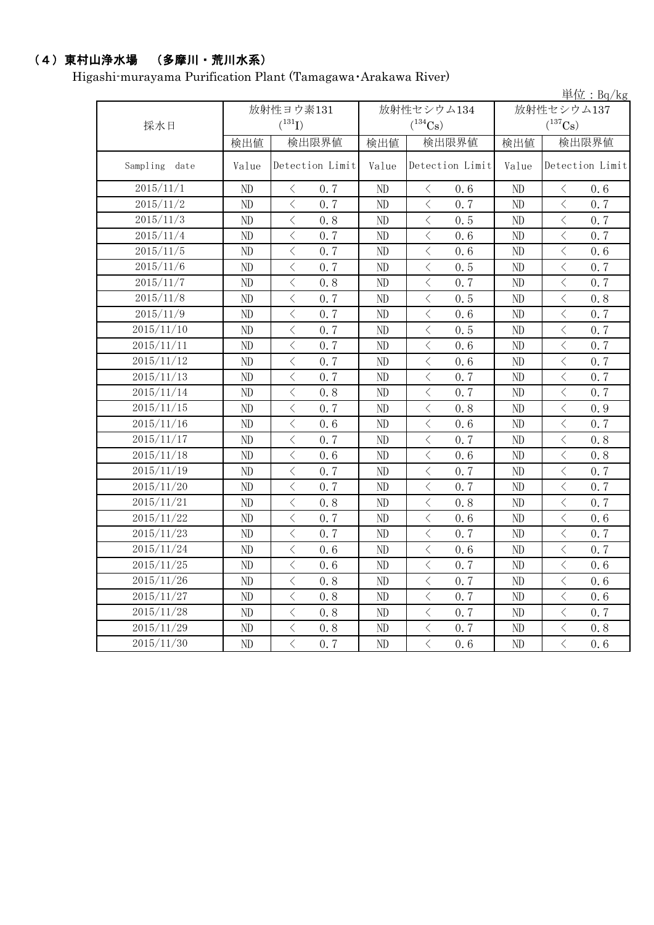## (4)東村山浄水場 (多摩川・荒川水系)

Higashi-murayama Purification Plant (Tamagawa・Arakawa River)

|               |           |                                                 | $\vert \dot{\Xi} \vert \dot{\Xi}$ : Bq/kg |                       |            |                                                 |  |
|---------------|-----------|-------------------------------------------------|-------------------------------------------|-----------------------|------------|-------------------------------------------------|--|
|               | 放射性ヨウ素131 |                                                 |                                           | 放射性セシウム134            | 放射性セシウム137 |                                                 |  |
| 採水日           |           | $(^{131}I)$                                     |                                           | $(^{134}Cs)$          |            | $(^{137}\mathrm{Cs})$                           |  |
|               | 検出値       | 検出限界値                                           | 検出値                                       | 検出限界値                 | 検出値        | 検出限界値                                           |  |
| Sampling date | Value     | Detection Limit                                 | Value                                     | Detection Limit       | Value      | Detection Limit                                 |  |
| 2015/11/1     | ND        | $\lt$<br>0.7                                    | ND                                        | 0.6<br>$\langle$      | ND         | $\lt$<br>0, 6                                   |  |
| 2015/11/2     | ND        | $\overline{\left\langle \right\rangle }$<br>0.7 | ND                                        | $\langle$<br>0.7      | ND         | $\overline{\left\langle \right\rangle }$<br>0.7 |  |
| 2015/11/3     | ND        | $\langle$<br>0.8                                | ND                                        | $\lt$<br>0.5          | ND         | $\langle$<br>0.7                                |  |
| 2015/11/4     | ND        | $\overline{\left\langle \right\rangle }$<br>0.7 | ND                                        | $\lt$<br>0.6          | ND         | $\,$ $\,$ $\,$<br>0.7                           |  |
| 2015/11/5     | ND        | $\langle$<br>0.7                                | ND                                        | $\,$ $\,$ $\,$<br>0.6 | ND         | $\langle$<br>0, 6                               |  |
| 2015/11/6     | ND        | $\,$ $\,$ $\,$<br>0.7                           | ND                                        | $\,$ $\,$ $\,$<br>0.5 | ND         | $\lt$<br>0.7                                    |  |
| 2015/11/7     | ND        | $\,$ $\,$ $\,$<br>0.8                           | ND                                        | $\,$ $\,$ $\,$<br>0.7 | ND         | $\,$ $\,$ $\,$<br>0.7                           |  |
| 2015/11/8     | ND        | $\lt$<br>0.7                                    | ND                                        | $\langle$<br>0.5      | ND         | $\lt$<br>0.8                                    |  |
| 2015/11/9     | ND        | $\langle$<br>0.7                                | $\rm ND$                                  | $\,$ $\,$ $\,$<br>0.6 | ND         | $\langle$<br>0.7                                |  |
| 2015/11/10    | ND        | $\langle$<br>0.7                                | $\rm ND$                                  | $\langle$<br>0.5      | ND         | $\langle$<br>0.7                                |  |
| 2015/11/11    | ND        | $\langle$<br>0.7                                | ND                                        | $\lt$<br>0.6          | ND         | $\langle$<br>0.7                                |  |
| 2015/11/12    | ND        | $\overline{\left\langle \right\rangle }$<br>0.7 | ND                                        | $\lt$<br>0.6          | ND         | $\overline{\left\langle \right\rangle }$<br>0.7 |  |
| 2015/11/13    | ND        | $\overline{\left\langle \right\rangle }$<br>0.7 | ND                                        | $\lt$<br>0.7          | ND         | $\overline{\left\langle \right\rangle }$<br>0.7 |  |
| 2015/11/14    | ND        | $\,$ $\,$ $\,$<br>0.8                           | ND                                        | $\lt$<br>0.7          | ND         | $\,$ $\,$ $\,$<br>0.7                           |  |
| 2015/11/15    | ND        | $\lt$<br>0.7                                    | ND                                        | $\langle$<br>0.8      | ND         | $\overline{\left\langle \right\rangle }$<br>0.9 |  |
| 2015/11/16    | ND        | $\overline{\left\langle \right\rangle }$<br>0.6 | ND                                        | $\langle$<br>0.6      | ND         | $\overline{\left\langle \right\rangle }$<br>0.7 |  |
| 2015/11/17    | ND        | $\langle$<br>0.7                                | ND                                        | $\lt$<br>0.7          | ND         | $\langle$<br>0.8                                |  |
| 2015/11/18    | ND        | $\,$ $\,$ $\,$<br>0.6                           | ND                                        | $\lt$<br>0.6          | ND         | $\,$ $\,$ $\,$<br>0.8                           |  |
| 2015/11/19    | ND        | $\lt$<br>0.7                                    | ND                                        | $\lt$<br>0.7          | ND         | $\lt$<br>0.7                                    |  |
| 2015/11/20    | ND        | $\lt$<br>0.7                                    | ND                                        | $\lt$<br>0.7          | ND         | $\lt$<br>0.7                                    |  |
| 2015/11/21    | ND        | $\lt$<br>0.8                                    | ND                                        | $\langle$<br>0.8      | ND         | $\lt$<br>0.7                                    |  |
| 2015/11/22    | ND        | $\lt$<br>0.7                                    | ND                                        | $\langle$<br>0.6      | ND         | $\lt$<br>0.6                                    |  |
| 2015/11/23    | ND        | $\lt$<br>0.7                                    | $\rm ND$                                  | $\langle$<br>0.7      | ND         | $\lt$<br>0.7                                    |  |
| 2015/11/24    | ND        | $\lt$<br>0.6                                    | ND                                        | $\langle$<br>0.6      | ND         | $\lt$<br>0.7                                    |  |
| 2015/11/25    | ND        | $\langle$<br>0, 6                               | ND                                        | $\lt$<br>0.7          | ND         | $\overline{\left\langle \right\rangle }$<br>0.6 |  |
| 2015/11/26    | ND        | $\langle$<br>0.8                                | ND                                        | $\lt$<br>0.7          | ND         | $\langle$<br>0.6                                |  |
| 2015/11/27    | ND        | $\langle$<br>0.8                                | ND                                        | $\,$ $\,$ $\,$<br>0.7 | ND         | $\langle$<br>0.6                                |  |
| 2015/11/28    | ND        | $\lt$<br>0.8                                    | ND                                        | $\,$ $\,$ $\,$<br>0.7 | ND         | $\lt$<br>0.7                                    |  |
| 2015/11/29    | ND        | $\langle$<br>0.8                                | ND                                        | $\langle$<br>0.7      | ND         | $\langle$<br>0.8                                |  |
| 2015/11/30    | ND        | $\langle$<br>0.7                                | ND                                        | $\langle$<br>0.6      | ND         | $\langle$<br>0.6                                |  |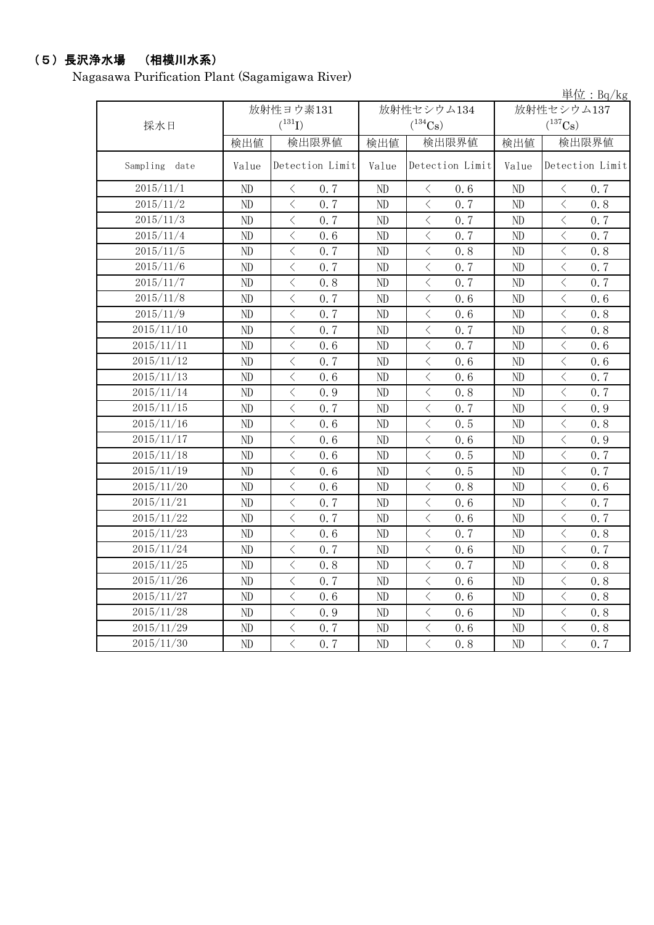# (5)長沢浄水場 (相模川水系)

Nagasawa Purification Plant (Sagamigawa River)

|               |                         |                                                 |          |                       |            | 単位: Bq/kg                   |
|---------------|-------------------------|-------------------------------------------------|----------|-----------------------|------------|-----------------------------|
|               | 放射性ヨウ素131<br>放射性セシウム134 |                                                 |          |                       | 放射性セシウム137 |                             |
| 採水日           |                         | $(^{131}I)$                                     |          | $(^{134}Cs)$          |            | $(^{137}Cs)$                |
|               | 検出値                     | 検出限界値                                           | 検出値      | 検出限界値                 | 検出値        | 検出限界値                       |
| Sampling date | Value                   | Detection Limit                                 | Value    | Detection Limit       | Value      | Detection Limit             |
| 2015/11/1     | ND                      | 0.7<br>$\langle$                                | ND       | 0.6<br>$\langle$      | ND         | $\langle$<br>0.7            |
| 2015/11/2     | ND                      | $\langle$<br>0.7                                | ND       | $\langle$<br>0, 7     | ND         | $\langle$<br>0.8            |
| 2015/11/3     | ND                      | $\overline{\left\langle \right\rangle }$<br>0.7 | ND       | $\langle$<br>0.7      | ND         | $\langle$<br>0.7            |
| 2015/11/4     | ND                      | $\langle$<br>0.6                                | $\rm ND$ | $\langle$<br>0.7      | ND         | $\langle$<br>0.7            |
| 2015/11/5     | ND                      | $\langle$<br>0.7                                | ND       | $\langle$<br>0.8      | ND         | $\langle$<br>0.8            |
| 2015/11/6     | ND                      | $\langle$<br>0.7                                | ND       | $\lt$<br>0.7          | ND         | $\langle$<br>0.7            |
| 2015/11/7     | ND                      | $\lt$<br>0.8                                    | ND       | $\lt$<br>0.7          | ND         | $\,$ $\,$ $\,$<br>0.7       |
| 2015/11/8     | ND                      | $\,$ $\,$ $\,$<br>0.7                           | ND       | $\langle$<br>0.6      | ND         | $\,$ $\,$ $\,$<br>0.6       |
| 2015/11/9     | ND                      | $\,$ $\,$ $\,$<br>0, 7                          | ND       | $\langle$<br>0, 6     | ND         | $\,$ $\,$ $\,$<br>0.8       |
| 2015/11/10    | ND                      | $\langle$<br>0.7                                | ND       | $\lt$<br>0.7          | ND         | $\langle$<br>0.8            |
| 2015/11/11    | ND                      | $\langle$<br>0.6                                | ND       | $\langle$<br>0.7      | ND         | $\lt$<br>0.6                |
| 2015/11/12    | ND                      | $\lt$<br>0.7                                    | ND       | $\lt$<br>0.6          | ND         | $\lt$<br>0.6                |
| 2015/11/13    | ND                      | $\langle$<br>0.6                                | ND       | $\langle$<br>0.6      | ND         | $\langle$<br>0.7            |
| 2015/11/14    | ND                      | $\langle$<br>0.9                                | ND       | $\langle$<br>0.8      | ND         | $\langle$<br>0.7            |
| 2015/11/15    | ND                      | $\langle$<br>0.7                                | ND       | $\,$ $\,$ $\,$<br>0.7 | ND         | $\langle$<br>0.9            |
| 2015/11/16    | ND                      | $\langle$<br>0, 6                               | ND       | $\langle$<br>0.5      | ND         | $\langle$<br>0.8            |
| 2015/11/17    | ND                      | $\langle$<br>0.6                                | ND       | $\langle$<br>0.6      | ND         | $\langle$<br>0.9            |
| 2015/11/18    | ND                      | $\lt$<br>0.6                                    | ND       | $\langle$<br>0.5      | ND         | $\lt$<br>0.7                |
| 2015/11/19    | ND                      | $\lt$<br>0.6                                    | ND       | $\lt$<br>0.5          | ND         | $\lt$<br>0.7                |
| 2015/11/20    | ND                      | $\lt$<br>0.6                                    | ND       | $\lt$<br>0, 8         | ND         | $\lt$<br>0.6                |
| 2015/11/21    | ND                      | $\langle$<br>0.7                                | ND       | $\langle$<br>0.6      | ND         | $\lt$<br>0.7                |
| 2015/11/22    | ND                      | $\lt$<br>0.7                                    | ND       | $\lt$<br>0.6          | ND         | $\langle$<br>0.7            |
| 2015/11/23    | ND                      | $\lt$<br>0.6                                    | ND       | $\langle$<br>0.7      | ND         | $\langle$<br>0.8            |
| 2015/11/24    | $\rm ND$                | $\langle$<br>0.7                                | $\rm ND$ | $\langle$<br>0.6      | $\rm ND$   | $\langle$<br>0.7            |
| 2015/11/25    | ND                      | $\lt$<br>0.8                                    | ND       | $\langle$<br>0.7      | ND         | $\lt$<br>0.8                |
| 2015/11/26    | ND                      | $\langle$<br>0.7                                | ND       | $\langle$<br>0.6      | ND         | $\langle$<br>0.8            |
| 2015/11/27    | ND                      | $\lt$<br>0.6                                    | ND       | $\,$ $\,$ $\,$<br>0.6 | ND         | $\lt$<br>0.8                |
| 2015/11/28    | ND                      | $\langle$<br>0.9                                | ND       | $\langle$<br>0.6      | ND         | $\langle$<br>0.8            |
| 2015/11/29    | ND                      | $\,$ $\,$ $\,$<br>0.7                           | ND       | $\,$ $\,$ $\,$<br>0.6 | ND         | $\langle$<br>0.8            |
| 2015/11/30    | ND                      | $\langle$<br>0.7                                | ND       | $\langle$<br>0.8      | ND         | $\overline{\langle}$<br>0.7 |